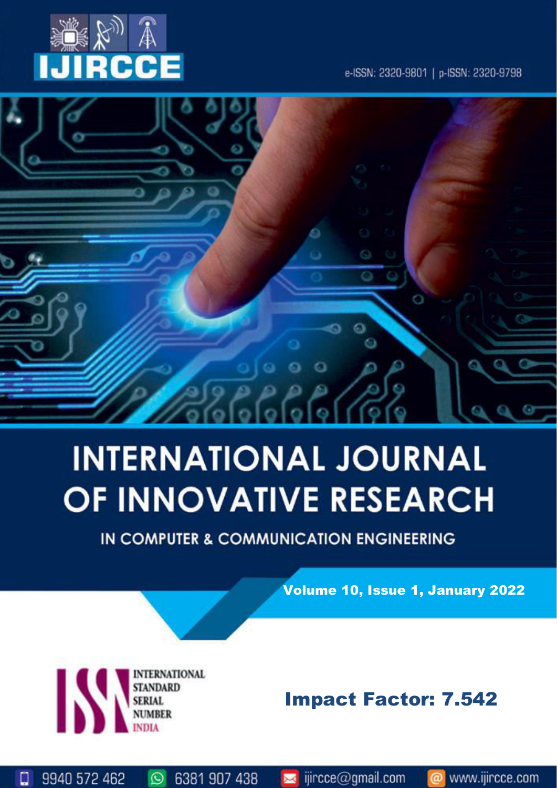

e-ISSN: 2320-9801 | p-ISSN: 2320-9798



# **INTERNATIONAL JOURNAL** OF INNOVATIVE RESEARCH

IN COMPUTER & COMMUNICATION ENGINEERING

Volume 10, Issue 1, January 2022

**ERNATIONAL** К **STANDARD** 

 $\odot$ 

6381 907 438

9940 572 462

□

# Impact Factor: 7.542

www.ijircce.com

ര

sijircce@gmail.com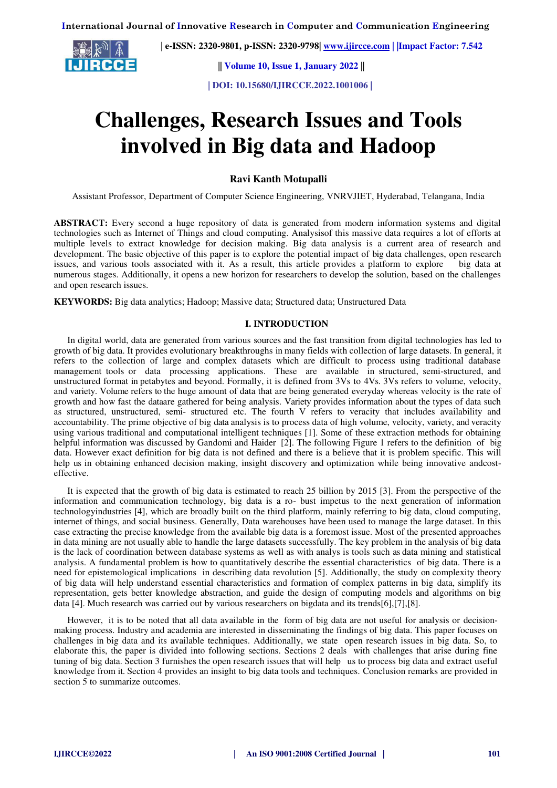

 **| e-ISSN: 2320-9801, p-ISSN: 2320-9798| [www.ijircce.com](http://www.ijircce.com/) | |Impact Factor: 7.542**

 **|| Volume 10, Issue 1, January 2022 ||**

 **| DOI: 10.15680/IJIRCCE.2022.1001006 |** 

# **Challenges, Research Issues and Tools involved in Big data and Hadoop**

**Ravi Kanth Motupalli** 

Assistant Professor, Department of Computer Science Engineering, VNRVJIET, Hyderabad, Telangana, India

**ABSTRACT:** Every second a huge repository of data is generated from modern information systems and digital technologies such as Internet of Things and cloud computing. Analysisof this massive data requires a lot of efforts at multiple levels to extract knowledge for decision making. Big data analysis is a current area of research and development. The basic objective of this paper is to explore the potential impact of big data challenges, open research issues, and various tools associated with it. As a result, this article provides a platform to explore big data at numerous stages. Additionally, it opens a new horizon for researchers to develop the solution, based on the challenges and open research issues.

**KEYWORDS:** Big data analytics; Hadoop; Massive data; Structured data; Unstructured Data

# **I. INTRODUCTION**

In digital world, data are generated from various sources and the fast transition from digital technologies has led to growth of big data. It provides evolutionary breakthroughs in many fields with collection of large datasets. In general, it refers to the collection of large and complex datasets which are difficult to process using traditional database management tools or data processing applications. These are available in structured, semi-structured, and unstructured format in petabytes and beyond. Formally, it is defined from 3Vs to 4Vs. 3Vs refers to volume, velocity, and variety. Volume refers to the huge amount of data that are being generated everyday whereas velocity is the rate of growth and how fast the dataare gathered for being analysis. Variety provides information about the types of data such as structured, unstructured, semi- structured etc. The fourth V refers to veracity that includes availability and accountability. The prime objective of big data analysis is to process data of high volume, velocity, variety, and veracity using various traditional and computational intelligent techniques [1]. Some of these extraction methods for obtaining helpful information was discussed by Gandomi and Haider [2]. The following Figure 1 refers to the definition of big data. However exact definition for big data is not defined and there is a believe that it is problem specific. This will help us in obtaining enhanced decision making, insight discovery and optimization while being innovative andcosteffective.

It is expected that the growth of big data is estimated to reach 25 billion by 2015 [3]. From the perspective of the information and communication technology, big data is a ro- bust impetus to the next generation of information technologyindustries [4], which are broadly built on the third platform, mainly referring to big data, cloud computing, internet of things, and social business. Generally, Data warehouses have been used to manage the large dataset. In this case extracting the precise knowledge from the available big data is a foremost issue. Most of the presented approaches in data mining are not usually able to handle the large datasets successfully. The key problem in the analysis of big data is the lack of coordination between database systems as well as with analys is tools such as data mining and statistical analysis. A fundamental problem is how to quantitatively describe the essential characteristics of big data. There is a need for epistemological implications in describing data revolution [5]. Additionally, the study on complexity theory of big data will help understand essential characteristics and formation of complex patterns in big data, simplify its representation, gets better knowledge abstraction, and guide the design of computing models and algorithms on big data [4]. Much research was carried out by various researchers on bigdata and its trends[6],[7],[8].

However, it is to be noted that all data available in the form of big data are not useful for analysis or decisionmaking process. Industry and academia are interested in disseminating the findings of big data. This paper focuses on challenges in big data and its available techniques. Additionally, we state open research issues in big data. So, to elaborate this, the paper is divided into following sections. Sections 2 deals with challenges that arise during fine tuning of big data. Section 3 furnishes the open research issues that will help us to process big data and extract useful knowledge from it. Section 4 provides an insight to big data tools and techniques. Conclusion remarks are provided in section 5 to summarize outcomes.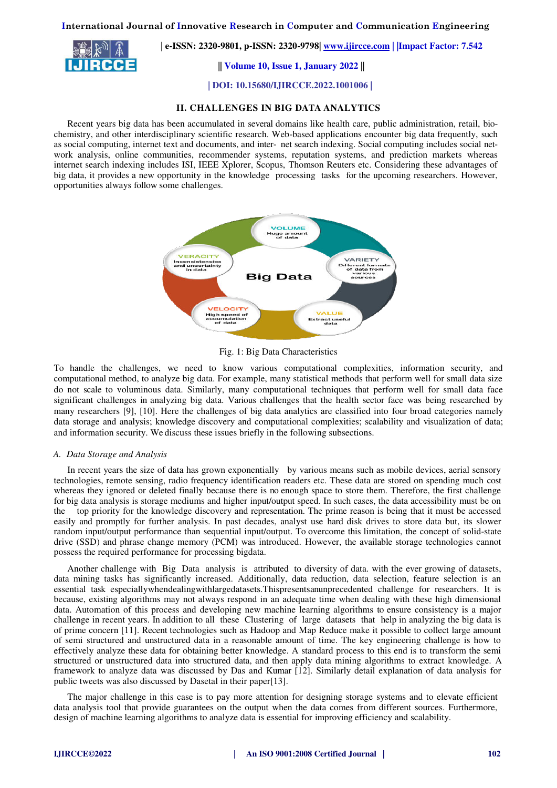RCCE

 **| e-ISSN: 2320-9801, p-ISSN: 2320-9798| [www.ijircce.com](http://www.ijircce.com/) | |Impact Factor: 7.542**

 **|| Volume 10, Issue 1, January 2022 ||**

 **| DOI: 10.15680/IJIRCCE.2022.1001006 |** 

# **II. CHALLENGES IN BIG DATA ANALYTICS**

Recent years big data has been accumulated in several domains like health care, public administration, retail, biochemistry, and other interdisciplinary scientific research. Web-based applications encounter big data frequently, such as social computing, internet text and documents, and inter- net search indexing. Social computing includes social network analysis, online communities, recommender systems, reputation systems, and prediction markets whereas internet search indexing includes ISI, IEEE Xplorer, Scopus, Thomson Reuters etc. Considering these advantages of big data, it provides a new opportunity in the knowledge processing tasks for the upcoming researchers. However, opportunities always follow some challenges.



Fig. 1: Big Data Characteristics

To handle the challenges, we need to know various computational complexities, information security, and computational method, to analyze big data. For example, many statistical methods that perform well for small data size do not scale to voluminous data. Similarly, many computational techniques that perform well for small data face significant challenges in analyzing big data. Various challenges that the health sector face was being researched by many researchers [9], [10]. Here the challenges of big data analytics are classified into four broad categories namely data storage and analysis; knowledge discovery and computational complexities; scalability and visualization of data; and information security. We discuss these issues briefly in the following subsections.

#### *A. Data Storage and Analysis*

In recent years the size of data has grown exponentially by various means such as mobile devices, aerial sensory technologies, remote sensing, radio frequency identification readers etc. These data are stored on spending much cost whereas they ignored or deleted finally because there is no enough space to store them. Therefore, the first challenge for big data analysis is storage mediums and higher input/output speed. In such cases, the data accessibility must be on the top priority for the knowledge discovery and representation. The prime reason is being that it must be accessed easily and promptly for further analysis. In past decades, analyst use hard disk drives to store data but, its slower random input/output performance than sequential input/output. To overcome this limitation, the concept of solid-state drive (SSD) and phrase change memory (PCM) was introduced. However, the available storage technologies cannot possess the required performance for processing bigdata.

Another challenge with Big Data analysis is attributed to diversity of data. with the ever growing of datasets, data mining tasks has significantly increased. Additionally, data reduction, data selection, feature selection is an essential task especiallywhendealingwithlargedatasets.Thispresentsanunprecedented challenge for researchers. It is because, existing algorithms may not always respond in an adequate time when dealing with these high dimensional data. Automation of this process and developing new machine learning algorithms to ensure consistency is a major challenge in recent years. In addition to all these Clustering of large datasets that help in analyzing the big data is of prime concern [11]. Recent technologies such as Hadoop and Map Reduce make it possible to collect large amount of semi structured and unstructured data in a reasonable amount of time. The key engineering challenge is how to effectively analyze these data for obtaining better knowledge. A standard process to this end is to transform the semi structured or unstructured data into structured data, and then apply data mining algorithms to extract knowledge. A framework to analyze data was discussed by Das and Kumar [12]. Similarly detail explanation of data analysis for public tweets was also discussed by Dasetal in their paper[13].

The major challenge in this case is to pay more attention for designing storage systems and to elevate efficient data analysis tool that provide guarantees on the output when the data comes from different sources. Furthermore, design of machine learning algorithms to analyze data is essential for improving efficiency and scalability.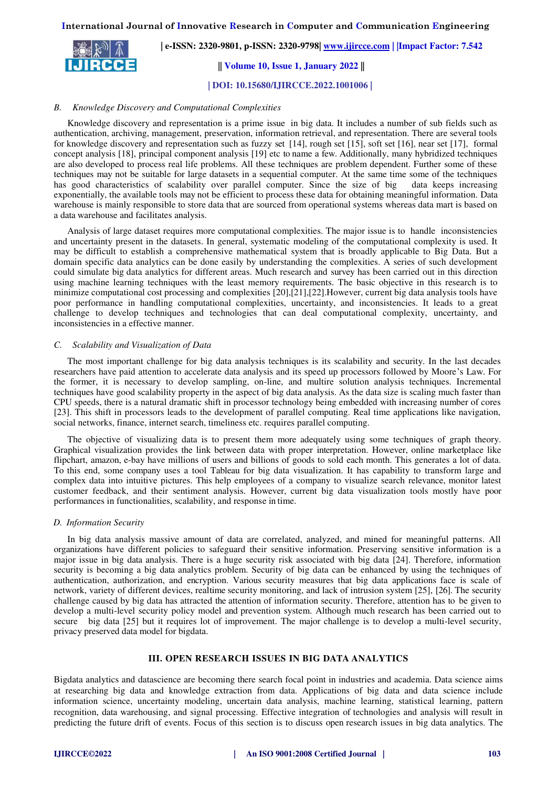IJIRCCE

 **| e-ISSN: 2320-9801, p-ISSN: 2320-9798| [www.ijircce.com](http://www.ijircce.com/) | |Impact Factor: 7.542**

 **|| Volume 10, Issue 1, January 2022 ||**

 **| DOI: 10.15680/IJIRCCE.2022.1001006 |** 

# *B. Knowledge Discovery and Computational Complexities*

Knowledge discovery and representation is a prime issue in big data. It includes a number of sub fields such as authentication, archiving, management, preservation, information retrieval, and representation. There are several tools for knowledge discovery and representation such as fuzzy set [14], rough set [15], soft set [16], near set [17], formal concept analysis [18], principal component analysis [19] etc to name a few. Additionally, many hybridized techniques are also developed to process real life problems. All these techniques are problem dependent. Further some of these techniques may not be suitable for large datasets in a sequential computer. At the same time some of the techniques has good characteristics of scalability over parallel computer. Since the size of big data keeps increasing exponentially, the available tools may not be efficient to process these data for obtaining meaningful information. Data warehouse is mainly responsible to store data that are sourced from operational systems whereas data mart is based on a data warehouse and facilitates analysis.

Analysis of large dataset requires more computational complexities. The major issue is to handle inconsistencies and uncertainty present in the datasets. In general, systematic modeling of the computational complexity is used. It may be difficult to establish a comprehensive mathematical system that is broadly applicable to Big Data. But a domain specific data analytics can be done easily by understanding the complexities. A series of such development could simulate big data analytics for different areas. Much research and survey has been carried out in this direction using machine learning techniques with the least memory requirements. The basic objective in this research is to minimize computational cost processing and complexities [20],[21],[22].However, current big data analysis tools have poor performance in handling computational complexities, uncertainty, and inconsistencies. It leads to a great challenge to develop techniques and technologies that can deal computational complexity, uncertainty, and inconsistencies in a effective manner.

# *C. Scalability and Visualization of Data*

The most important challenge for big data analysis techniques is its scalability and security. In the last decades researchers have paid attention to accelerate data analysis and its speed up processors followed by Moore's Law. For the former, it is necessary to develop sampling, on-line, and multire solution analysis techniques. Incremental techniques have good scalability property in the aspect of big data analysis. As the data size is scaling much faster than CPU speeds, there is a natural dramatic shift in processor technology being embedded with increasing number of cores [23]. This shift in processors leads to the development of parallel computing. Real time applications like navigation, social networks, finance, internet search, timeliness etc. requires parallel computing.

The objective of visualizing data is to present them more adequately using some techniques of graph theory. Graphical visualization provides the link between data with proper interpretation. However, online marketplace like flipchart, amazon, e-bay have millions of users and billions of goods to sold each month. This generates a lot of data. To this end, some company uses a tool Tableau for big data visualization. It has capability to transform large and complex data into intuitive pictures. This help employees of a company to visualize search relevance, monitor latest customer feedback, and their sentiment analysis. However, current big data visualization tools mostly have poor performances in functionalities, scalability, and response in time.

# *D. Information Security*

In big data analysis massive amount of data are correlated, analyzed, and mined for meaningful patterns. All organizations have different policies to safeguard their sensitive information. Preserving sensitive information is a major issue in big data analysis. There is a huge security risk associated with big data [24]. Therefore, information security is becoming a big data analytics problem. Security of big data can be enhanced by using the techniques of authentication, authorization, and encryption. Various security measures that big data applications face is scale of network, variety of different devices, realtime security monitoring, and lack of intrusion system [25], [26]. The security challenge caused by big data has attracted the attention of information security. Therefore, attention has to be given to develop a multi-level security policy model and prevention system. Although much research has been carried out to secure big data [25] but it requires lot of improvement. The major challenge is to develop a multi-level security, privacy preserved data model for bigdata.

# **III. OPEN RESEARCH ISSUES IN BIG DATA ANALYTICS**

Bigdata analytics and datascience are becoming there search focal point in industries and academia. Data science aims at researching big data and knowledge extraction from data. Applications of big data and data science include information science, uncertainty modeling, uncertain data analysis, machine learning, statistical learning, pattern recognition, data warehousing, and signal processing. Effective integration of technologies and analysis will result in predicting the future drift of events. Focus of this section is to discuss open research issues in big data analytics. The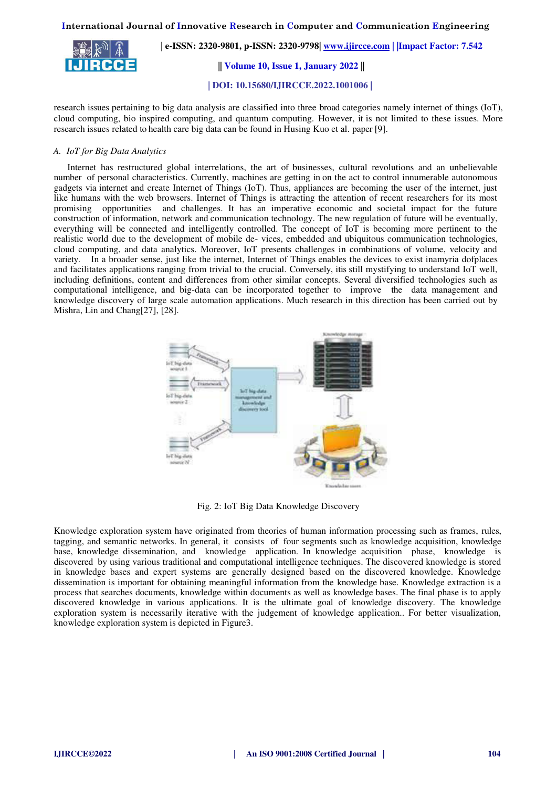

 **| e-ISSN: 2320-9801, p-ISSN: 2320-9798| [www.ijircce.com](http://www.ijircce.com/) | |Impact Factor: 7.542 || Volume 10, Issue 1, January 2022 ||**

 **| DOI: 10.15680/IJIRCCE.2022.1001006 |** 

research issues pertaining to big data analysis are classified into three broad categories namely internet of things (IoT), cloud computing, bio inspired computing, and quantum computing. However, it is not limited to these issues. More research issues related to health care big data can be found in Husing Kuo et al. paper [9].

# *A. IoT for Big Data Analytics*

Internet has restructured global interrelations, the art of businesses, cultural revolutions and an unbelievable number of personal characteristics. Currently, machines are getting in on the act to control innumerable autonomous gadgets via internet and create Internet of Things (IoT). Thus, appliances are becoming the user of the internet, just like humans with the web browsers. Internet of Things is attracting the attention of recent researchers for its most promising opportunities and challenges. It has an imperative economic and societal impact for the future construction of information, network and communication technology. The new regulation of future will be eventually, everything will be connected and intelligently controlled. The concept of IoT is becoming more pertinent to the realistic world due to the development of mobile de- vices, embedded and ubiquitous communication technologies, cloud computing, and data analytics. Moreover, IoT presents challenges in combinations of volume, velocity and variety. In a broader sense, just like the internet, Internet of Things enables the devices to exist inamyria dofplaces and facilitates applications ranging from trivial to the crucial. Conversely, itis still mystifying to understand IoT well, including definitions, content and differences from other similar concepts. Several diversified technologies such as computational intelligence, and big-data can be incorporated together to improve the data management and knowledge discovery of large scale automation applications. Much research in this direction has been carried out by Mishra, Lin and Chang[27], [28].



Fig. 2: IoT Big Data Knowledge Discovery

Knowledge exploration system have originated from theories of human information processing such as frames, rules, tagging, and semantic networks. In general, it consists of four segments such as knowledge acquisition, knowledge base, knowledge dissemination, and knowledge application. In knowledge acquisition phase, knowledge is discovered by using various traditional and computational intelligence techniques. The discovered knowledge is stored in knowledge bases and expert systems are generally designed based on the discovered knowledge. Knowledge dissemination is important for obtaining meaningful information from the knowledge base. Knowledge extraction is a process that searches documents, knowledge within documents as well as knowledge bases. The final phase is to apply discovered knowledge in various applications. It is the ultimate goal of knowledge discovery. The knowledge exploration system is necessarily iterative with the judgement of knowledge application.. For better visualization, knowledge exploration system is depicted in Figure3.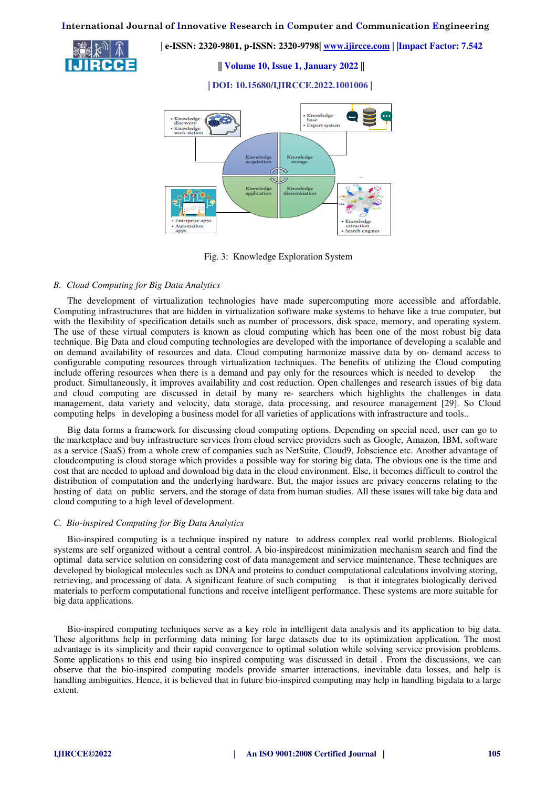**|| Volume 10, Issue 1, January 2022 ||**

 **| e-ISSN: 2320-9801, p-ISSN: 2320-9798| [www.ijircce.com](http://www.ijircce.com/) | |Impact Factor: 7.542**

 **| DOI: 10.15680/IJIRCCE.2022.1001006 |** 



Fig. 3: Knowledge Exploration System

# *B. Cloud Computing for Big Data Analytics*

The development of virtualization technologies have made supercomputing more accessible and affordable. Computing infrastructures that are hidden in virtualization software make systems to behave like a true computer, but with the flexibility of specification details such as number of processors, disk space, memory, and operating system. The use of these virtual computers is known as cloud computing which has been one of the most robust big data technique. Big Data and cloud computing technologies are developed with the importance of developing a scalable and on demand availability of resources and data. Cloud computing harmonize massive data by on- demand access to configurable computing resources through virtualization techniques. The benefits of utilizing the Cloud computing include offering resources when there is a demand and pay only for the resources which is needed to develop the product. Simultaneously, it improves availability and cost reduction. Open challenges and research issues of big data and cloud computing are discussed in detail by many re- searchers which highlights the challenges in data management, data variety and velocity, data storage, data processing, and resource management [29]. So Cloud computing helps in developing a business model for all varieties of applications with infrastructure and tools..

Big data forms a framework for discussing cloud computing options. Depending on special need, user can go to the marketplace and buy infrastructure services from cloud service providers such as Google, Amazon, IBM, software as a service (SaaS) from a whole crew of companies such as NetSuite, Cloud9, Jobscience etc. Another advantage of cloudcomputing is cloud storage which provides a possible way for storing big data. The obvious one is the time and cost that are needed to upload and download big data in the cloud environment. Else, it becomes difficult to control the distribution of computation and the underlying hardware. But, the major issues are privacy concerns relating to the hosting of data on public servers, and the storage of data from human studies. All these issues will take big data and cloud computing to a high level of development.

# *C. Bio-inspired Computing for Big Data Analytics*

Bio-inspired computing is a technique inspired ny nature to address complex real world problems. Biological systems are self organized without a central control. A bio-inspiredcost minimization mechanism search and find the optimal data service solution on considering cost of data management and service maintenance. These techniques are developed by biological molecules such as DNA and proteins to conduct computational calculations involving storing, retrieving, and processing of data. A significant feature of such computing is that it integrates biologically derived materials to perform computational functions and receive intelligent performance. These systems are more suitable for big data applications.

Bio-inspired computing techniques serve as a key role in intelligent data analysis and its application to big data. These algorithms help in performing data mining for large datasets due to its optimization application. The most advantage is its simplicity and their rapid convergence to optimal solution while solving service provision problems. Some applications to this end using bio inspired computing was discussed in detail . From the discussions, we can observe that the bio-inspired computing models provide smarter interactions, inevitable data losses, and help is handling ambiguities. Hence, it is believed that in future bio-inspired computing may help in handling bigdata to a large extent.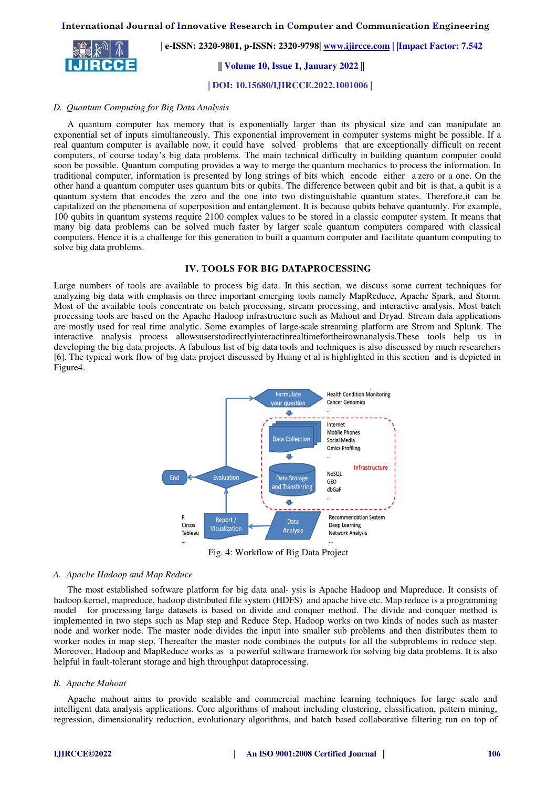**| e-ISSN: 2320-9801, p-ISSN: 2320-9798| [www.ijircce.com](http://www.ijircce.com/) | |Impact Factor: 7.542**

 **|| Volume 10, Issue 1, January 2022 ||**

 **| DOI: 10.15680/IJIRCCE.2022.1001006 |** 

# *D. Quantum Computing for Big Data Analysis*

A quantum computer has memory that is exponentially larger than its physical size and can manipulate an exponential set of inputs simultaneously. This exponential improvement in computer systems might be possible. If a real quantum computer is available now, it could have solved problems that are exceptionally difficult on recent computers, of course today's big data problems. The main technical difficulty in building quantum computer could soon be possible. Quantum computing provides a way to merge the quantum mechanics to process the information. In traditional computer, information is presented by long strings of bits which encode either a zero or a one. On the other hand a quantum computer uses quantum bits or qubits. The difference between qubit and bit is that, a qubit is a quantum system that encodes the zero and the one into two distinguishable quantum states. Therefore,it can be capitalized on the phenomena of superposition and entanglement. It is because qubits behave quantumly. For example, 100 qubits in quantum systems require 2100 complex values to be stored in a classic computer system. It means that many big data problems can be solved much faster by larger scale quantum computers compared with classical computers. Hence it is a challenge for this generation to built a quantum computer and facilitate quantum computing to solve big data problems.

#### **IV. TOOLS FOR BIG DATAPROCESSING**

Large numbers of tools are available to process big data. In this section, we discuss some current techniques for analyzing big data with emphasis on three important emerging tools namely MapReduce, Apache Spark, and Storm. Most of the available tools concentrate on batch processing, stream processing, and interactive analysis. Most batch processing tools are based on the Apache Hadoop infrastructure such as Mahout and Dryad. Stream data applications are mostly used for real time analytic. Some examples of large-scale streaming platform are Strom and Splunk. The interactive analysis process allowsuserstodirectlyinteractinrealtimefortheirownanalysis.These tools help us in developing the big data projects. A fabulous list of big data tools and techniques is also discussed by much researchers [6]. The typical work flow of big data project discussed by Huang et al is highlighted in this section and is depicted in Figure4.



Fig. 4: Workflow of Big Data Project

#### *A. Apache Hadoop and Map Reduce*

The most established software platform for big data anal- ysis is Apache Hadoop and Mapreduce. It consists of hadoop kernel, mapreduce, hadoop distributed file system (HDFS) and apache hive etc. Map reduce is a programming model for processing large datasets is based on divide and conquer method. The divide and conquer method is implemented in two steps such as Map step and Reduce Step. Hadoop works on two kinds of nodes such as master node and worker node. The master node divides the input into smaller sub problems and then distributes them to worker nodes in map step. Thereafter the master node combines the outputs for all the subproblems in reduce step. Moreover, Hadoop and MapReduce works as a powerful software framework for solving big data problems. It is also helpful in fault-tolerant storage and high throughput dataprocessing.

#### *B. Apache Mahout*

Apache mahout aims to provide scalable and commercial machine learning techniques for large scale and intelligent data analysis applications. Core algorithms of mahout including clustering, classification, pattern mining, regression, dimensionality reduction, evolutionary algorithms, and batch based collaborative filtering run on top of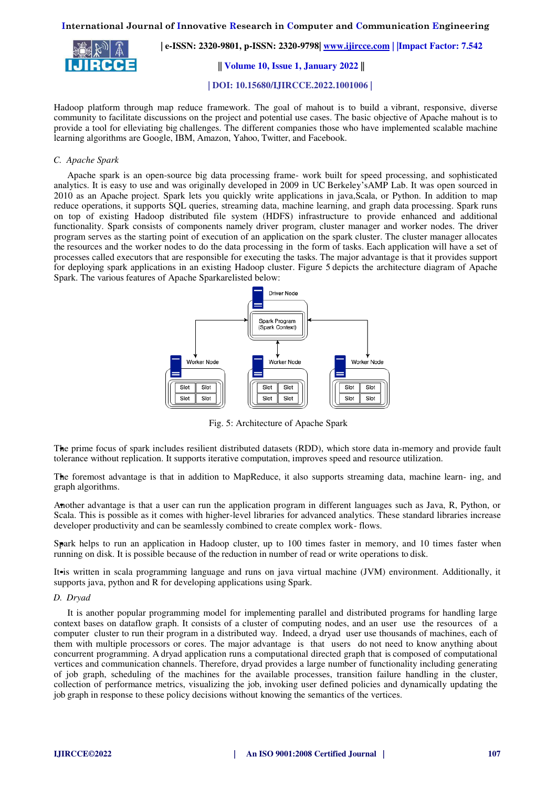

 **| e-ISSN: 2320-9801, p-ISSN: 2320-9798| [www.ijircce.com](http://www.ijircce.com/) | |Impact Factor: 7.542**

 **|| Volume 10, Issue 1, January 2022 ||**

 **| DOI: 10.15680/IJIRCCE.2022.1001006 |** 

Hadoop platform through map reduce framework. The goal of mahout is to build a vibrant, responsive, diverse community to facilitate discussions on the project and potential use cases. The basic objective of Apache mahout is to provide a tool for elleviating big challenges. The different companies those who have implemented scalable machine learning algorithms are Google, IBM, Amazon, Yahoo, Twitter, and Facebook.

# *C. Apache Spark*

Apache spark is an open-source big data processing frame- work built for speed processing, and sophisticated analytics. It is easy to use and was originally developed in 2009 in UC Berkeley'sAMP Lab. It was open sourced in 2010 as an Apache project. Spark lets you quickly write applications in java,Scala, or Python. In addition to map reduce operations, it supports SQL queries, streaming data, machine learning, and graph data processing. Spark runs on top of existing Hadoop distributed file system (HDFS) infrastructure to provide enhanced and additional functionality. Spark consists of components namely driver program, cluster manager and worker nodes. The driver program serves as the starting point of execution of an application on the spark cluster. The cluster manager allocates the resources and the worker nodes to do the data processing in the form of tasks. Each application will have a set of processes called executors that are responsible for executing the tasks. The major advantage is that it provides support for deploying spark applications in an existing Hadoop cluster. Figure 5 depicts the architecture diagram of Apache Spark. The various features of Apache Sparkarelisted below:



Fig. 5: Architecture of Apache Spark

The prime focus of spark includes resilient distributed datasets (RDD), which store data in-memory and provide fault *•* tolerance without replication. It supports iterative computation, improves speed and resource utilization.

The foremost advantage is that in addition to MapReduce, it also supports streaming data, machine learn- ing, and *•* graph algorithms.

Another advantage is that a user can run the application program in different languages such as Java, R, Python, or *•* Scala. This is possible as it comes with higher-level libraries for advanced analytics. These standard libraries increase developer productivity and can be seamlessly combined to create complex work- flows.

Spark helps to run an application in Hadoop cluster, up to 100 times faster in memory, and 10 times faster when *•* running on disk. It is possible because of the reduction in number of read or write operations to disk.

It•is written in scala programming language and runs on java virtual machine (JVM) environment. Additionally, it supports java, python and R for developing applications using Spark.

# *D. Dryad*

It is another popular programming model for implementing parallel and distributed programs for handling large context bases on dataflow graph. It consists of a cluster of computing nodes, and an user use the resources of a computer cluster to run their program in a distributed way. Indeed, a dryad user use thousands of machines, each of them with multiple processors or cores. The major advantage is that users do not need to know anything about concurrent programming. A dryad application runs a computational directed graph that is composed of computational vertices and communication channels. Therefore, dryad provides a large number of functionality including generating of job graph, scheduling of the machines for the available processes, transition failure handling in the cluster, collection of performance metrics, visualizing the job, invoking user defined policies and dynamically updating the job graph in response to these policy decisions without knowing the semantics of the vertices.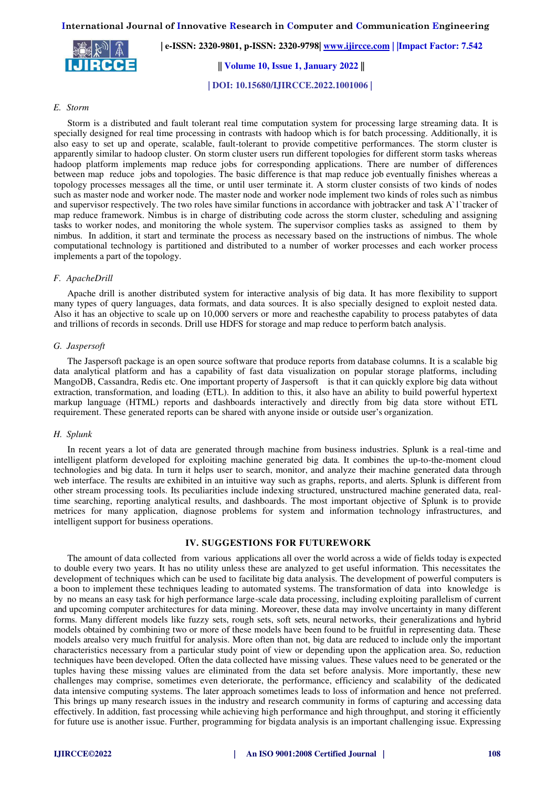**| e-ISSN: 2320-9801, p-ISSN: 2320-9798| [www.ijircce.com](http://www.ijircce.com/) | |Impact Factor: 7.542**

 **|| Volume 10, Issue 1, January 2022 ||**

 **| DOI: 10.15680/IJIRCCE.2022.1001006 |** 

# *E. Storm*

Storm is a distributed and fault tolerant real time computation system for processing large streaming data. It is specially designed for real time processing in contrasts with hadoop which is for batch processing. Additionally, it is also easy to set up and operate, scalable, fault-tolerant to provide competitive performances. The storm cluster is apparently similar to hadoop cluster. On storm cluster users run different topologies for different storm tasks whereas hadoop platform implements map reduce jobs for corresponding applications. There are number of differences between map reduce jobs and topologies. The basic difference is that map reduce job eventually finishes whereas a topology processes messages all the time, or until user terminate it. A storm cluster consists of two kinds of nodes such as master node and worker node. The master node and worker node implement two kinds of roles such as nimbus and supervisor respectively. The two roles have similar functions in accordance with jobtracker and task A`1`tracker of map reduce framework. Nimbus is in charge of distributing code across the storm cluster, scheduling and assigning tasks to worker nodes, and monitoring the whole system. The supervisor complies tasks as assigned to them by nimbus. In addition, it start and terminate the process as necessary based on the instructions of nimbus. The whole computational technology is partitioned and distributed to a number of worker processes and each worker process implements a part of the topology.

# *F. ApacheDrill*

Apache drill is another distributed system for interactive analysis of big data. It has more flexibility to support many types of query languages, data formats, and data sources. It is also specially designed to exploit nested data. Also it has an objective to scale up on 10,000 servers or more and reachesthe capability to process patabytes of data and trillions of records in seconds. Drill use HDFS for storage and map reduce to perform batch analysis.

#### *G. Jaspersoft*

The Jaspersoft package is an open source software that produce reports from database columns. It is a scalable big data analytical platform and has a capability of fast data visualization on popular storage platforms, including MangoDB, Cassandra, Redis etc. One important property of Jaspersoft is that it can quickly explore big data without extraction, transformation, and loading (ETL). In addition to this, it also have an ability to build powerful hypertext markup language (HTML) reports and dashboards interactively and directly from big data store without ETL requirement. These generated reports can be shared with anyone inside or outside user's organization.

#### *H. Splunk*

In recent years a lot of data are generated through machine from business industries. Splunk is a real-time and intelligent platform developed for exploiting machine generated big data. It combines the up-to-the-moment cloud technologies and big data. In turn it helps user to search, monitor, and analyze their machine generated data through web interface. The results are exhibited in an intuitive way such as graphs, reports, and alerts. Splunk is different from other stream processing tools. Its peculiarities include indexing structured, unstructured machine generated data, realtime searching, reporting analytical results, and dashboards. The most important objective of Splunk is to provide metrices for many application, diagnose problems for system and information technology infrastructures, and intelligent support for business operations.

# **IV. SUGGESTIONS FOR FUTUREWORK**

The amount of data collected from various applications all over the world across a wide of fields today is expected to double every two years. It has no utility unless these are analyzed to get useful information. This necessitates the development of techniques which can be used to facilitate big data analysis. The development of powerful computers is a boon to implement these techniques leading to automated systems. The transformation of data into knowledge is by no means an easy task for high performance large-scale data processing, including exploiting parallelism of current and upcoming computer architectures for data mining. Moreover, these data may involve uncertainty in many different forms. Many different models like fuzzy sets, rough sets, soft sets, neural networks, their generalizations and hybrid models obtained by combining two or more of these models have been found to be fruitful in representing data. These models arealso very much fruitful for analysis. More often than not, big data are reduced to include only the important characteristics necessary from a particular study point of view or depending upon the application area. So, reduction techniques have been developed. Often the data collected have missing values. These values need to be generated or the tuples having these missing values are eliminated from the data set before analysis. More importantly, these new challenges may comprise, sometimes even deteriorate, the performance, efficiency and scalability of the dedicated data intensive computing systems. The later approach sometimes leads to loss of information and hence not preferred. This brings up many research issues in the industry and research community in forms of capturing and accessing data effectively. In addition, fast processing while achieving high performance and high throughput, and storing it efficiently for future use is another issue. Further, programming for bigdata analysis is an important challenging issue. Expressing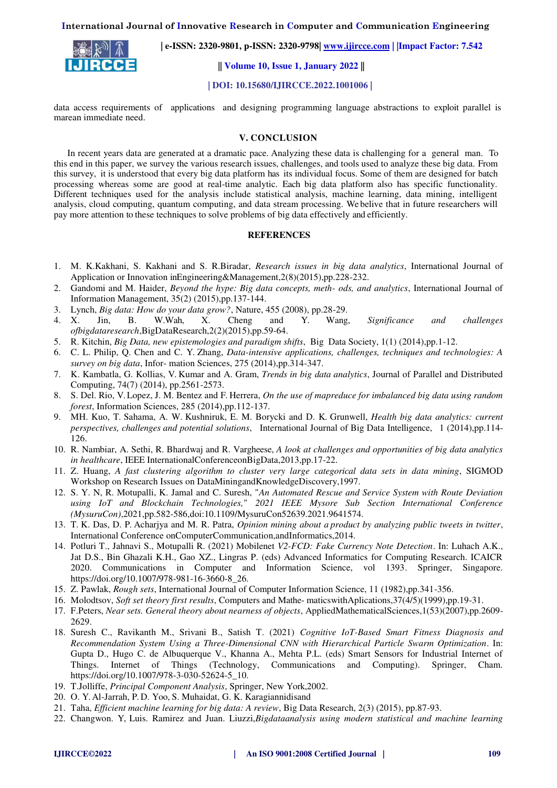

 **| e-ISSN: 2320-9801, p-ISSN: 2320-9798| [www.ijircce.com](http://www.ijircce.com/) | |Impact Factor: 7.542**

 **|| Volume 10, Issue 1, January 2022 ||**

 **| DOI: 10.15680/IJIRCCE.2022.1001006 |** 

data access requirements of applications and designing programming language abstractions to exploit parallel is marean immediate need.

# **V. CONCLUSION**

In recent years data are generated at a dramatic pace. Analyzing these data is challenging for a general man. To this end in this paper, we survey the various research issues, challenges, and tools used to analyze these big data. From this survey, it is understood that every big data platform has its individual focus. Some of them are designed for batch processing whereas some are good at real-time analytic. Each big data platform also has specific functionality. Different techniques used for the analysis include statistical analysis, machine learning, data mining, intelligent analysis, cloud computing, quantum computing, and data stream processing. We belive that in future researchers will pay more attention to these techniques to solve problems of big data effectively and efficiently.

# **REFERENCES**

- 1. M. K.Kakhani, S. Kakhani and S. R.Biradar, *Research issues in big data analytics*, International Journal of Application or Innovation inEngineering&Management,2(8)(2015),pp.228-232.
- 2. Gandomi and M. Haider, *Beyond the hype: Big data concepts, meth- ods, and analytics*, International Journal of Information Management, 35(2) (2015),pp.137-144.
- 3. Lynch, *Big data: How do your data grow?*, Nature, 455 (2008), pp.28-29.
- 4. X. Jin, B. W.Wah, X. Cheng and Y. Wang, *Significance and challenges ofbigdataresearch*,BigDataResearch,2(2)(2015),pp.59-64.
- 5. R. Kitchin, *Big Data, new epistemologies and paradigm shifts*, Big Data Society, 1(1) (2014),pp.1-12.
- 6. C. L. Philip, Q. Chen and C. Y. Zhang, *Data-intensive applications, challenges, techniques and technologies: A survey on big data*, Infor- mation Sciences, 275 (2014),pp.314-347.
- 7. K. Kambatla, G. Kollias, V. Kumar and A. Gram, *Trends in big data analytics*, Journal of Parallel and Distributed Computing, 74(7) (2014), pp.2561-2573.
- 8. S. Del. Rio, V. Lopez, J. M. Bentez and F. Herrera, *On the use of mapreduce for imbalanced big data using random forest*, Information Sciences, 285 (2014),pp.112-137.
- 9. MH. Kuo, T. Sahama, A. W. Kushniruk, E. M. Borycki and D. K. Grunwell, *Health big data analytics: current perspectives, challenges and potential solutions*, International Journal of Big Data Intelligence, 1 (2014),pp.114- 126.
- 10. R. Nambiar, A. Sethi, R. Bhardwaj and R. Vargheese, *A look at challenges and opportunities of big data analytics in healthcare*, IEEE InternationalConferenceonBigData,2013,pp.17-22.
- 11. Z. Huang, *A fast clustering algorithm to cluster very large categorical data sets in data mining*, SIGMOD Workshop on Research Issues on DataMiningandKnowledgeDiscovery,1997.
- 12. S. Y. N, R. Motupalli, K. Jamal and C. Suresh, "*An Automated Rescue and Service System with Route Deviation using IoT and Blockchain Technologies,*" *2021 IEEE Mysore Sub Section International Conference (MysuruCon)*,2021,pp.582-586,doi:10.1109/MysuruCon52639.2021.9641574.
- 13. T. K. Das, D. P. Acharjya and M. R. Patra, *Opinion mining about a product by analyzing public tweets in twitter*, International Conference onComputerCommunication,andInformatics,2014.
- 14. Potluri T., Jahnavi S., Motupalli R. (2021) Mobilenet *V2-FCD: Fake Currency Note Detection*. In: Luhach A.K., Jat D.S., Bin Ghazali K.H., Gao XZ., Lingras P. (eds) Advanced Informatics for Computing Research. ICAICR 2020. Communications in Computer and Information Science, vol 1393. Springer, Singapore. https://doi.org/10.1007/978-981-16-3660-8\_26.
- 15. Z. Pawlak, *Rough sets*, International Journal of Computer Information Science, 11 (1982),pp.341-356.
- 16. Molodtsov, *Soft set theory first results*, Computers and Mathe- maticswithAplications,37(4/5)(1999),pp.19-31.
- 17. F.Peters, *Near sets. General theory about nearness of objects*, AppliedMathematicalSciences,1(53)(2007),pp.2609- 2629.
- 18. Suresh C., Ravikanth M., Srivani B., Satish T. (2021) *Cognitive IoT-Based Smart Fitness Diagnosis and Recommendation System Using a Three-Dimensional CNN with Hierarchical Particle Swarm Optimization*. In: Gupta D., Hugo C. de Albuquerque V., Khanna A., Mehta P.L. (eds) Smart Sensors for Industrial Internet of Things. Internet of Things (Technology, Communications and Computing). Springer, Cham. https://doi.org/10.1007/978-3-030-52624-5\_10.
- 19. T.Jolliffe, *Principal Component Analysis*, Springer, New York,2002.
- 20. O. Y. Al-Jarrah, P. D. Yoo, S. Muhaidat, G. K. Karagiannidisand
- 21. Taha, *Efficient machine learning for big data: A review*, Big Data Research, 2(3) (2015), pp.87-93.
- 22. Changwon. Y, Luis. Ramirez and Juan. Liuzzi,*Bigdataanalysis using modern statistical and machine learning*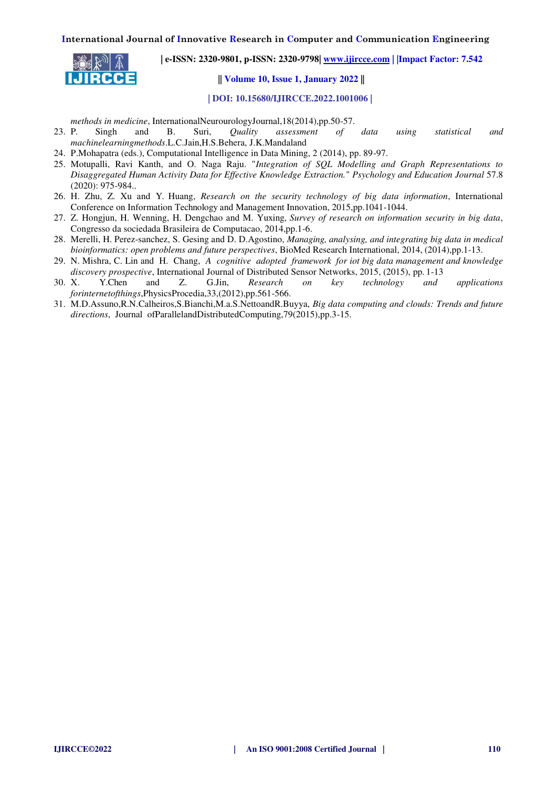

 **| e-ISSN: 2320-9801, p-ISSN: 2320-9798| [www.ijircce.com](http://www.ijircce.com/) | |Impact Factor: 7.542**

 **|| Volume 10, Issue 1, January 2022 ||**

 **| DOI: 10.15680/IJIRCCE.2022.1001006 |** 

*methods in medicine*, InternationalNeurourologyJournal,18(2014),pp.50-57.

- 23. P. Singh and B. Suri, *Quality assessment of data using statistical and machinelearningmethods*.L.C.Jain,H.S.Behera, J.K.Mandaland
- 24. P.Mohapatra (eds.), Computational Intelligence in Data Mining, 2 (2014), pp. 89-97.
- 25. Motupalli, Ravi Kanth, and O. Naga Raju. "*Integration of SQL Modelling and Graph Representations to Disaggregated Human Activity Data for Effective Knowledge Extraction.*" *Psychology and Education Journal* 57.8 (2020): 975-984..
- 26. H. Zhu, Z. Xu and Y. Huang, *Research on the security technology of big data information*, International Conference on Information Technology and Management Innovation, 2015,pp.1041-1044.
- 27. Z. Hongjun, H. Wenning, H. Dengchao and M. Yuxing, *Survey of research on information security in big data*, Congresso da sociedada Brasileira de Computacao, 2014,pp.1-6.
- 28. Merelli, H. Perez-sanchez, S. Gesing and D. D.Agostino, *Managing, analysing, and integrating big data in medical bioinformatics: open problems and future perspectives*, BioMed Research International, 2014, (2014),pp.1-13.
- 29. N. Mishra, C. Lin and H. Chang, *A cognitive adopted framework for iot big data management and knowledge discovery prospective*, International Journal of Distributed Sensor Networks, 2015, (2015), pp. 1-13
- 30. X. Y.Chen and Z. G.Jin, *Research on key technology and applications forinternetofthings*,PhysicsProcedia,33,(2012),pp.561-566.
- 31. M.D.Assuno,R.N.Calheiros,S.Bianchi,M.a.S.NettoandR.Buyya, *Big data computing and clouds: Trends and future directions*, Journal ofParallelandDistributedComputing,79(2015),pp.3-15.